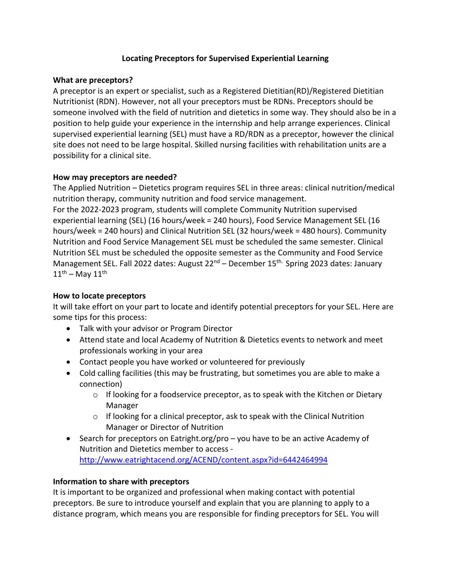### **Locating Preceptors for Supervised Experiential Learning**

### **What are preceptors?**

A preceptor is an expert or specialist, such as a Registered Dietitian(RD)/Registered Dietitian Nutritionist (RDN). However, not all your preceptors must be RDNs. Preceptors should be someone involved with the field of nutrition and dietetics in some way. They should also be in a position to help guide your experience in the internship and help arrange experiences. Clinical supervised experiential learning (SEL) must have a RD/RDN as a preceptor, however the clinical site does not need to be large hospital. Skilled nursing facilities with rehabilitation units are a possibility for a clinical site.

### **How may preceptors are needed?**

The Applied Nutrition – Dietetics program requires SEL in three areas: clinical nutrition/medical nutrition therapy, community nutrition and food service management.

For the 2022-2023 program, students will complete Community Nutrition supervised experiential learning (SEL) (16 hours/week = 240 hours), Food Service Management SEL (16 hours/week = 240 hours) and Clinical Nutrition SEL (32 hours/week = 480 hours). Community Nutrition and Food Service Management SEL must be scheduled the same semester. Clinical Nutrition SEL must be scheduled the opposite semester as the Community and Food Service Management SEL. Fall 2022 dates: August  $22^{nd}$  – December  $15^{th}$ . Spring 2023 dates: January  $11^{\text{th}}$  – May  $11^{\text{th}}$ 

# **How to locate preceptors**

It will take effort on your part to locate and identify potential preceptors for your SEL. Here are some tips for this process:

- Talk with your advisor or Program Director
- Attend state and local Academy of Nutrition & Dietetics events to network and meet professionals working in your area
- Contact people you have worked or volunteered for previously
- Cold calling facilities (this may be frustrating, but sometimes you are able to make a connection)
	- $\circ$  If looking for a foodservice preceptor, as to speak with the Kitchen or Dietary Manager
	- $\circ$  If looking for a clinical preceptor, ask to speak with the Clinical Nutrition Manager or Director of Nutrition
- Search for preceptors on Eatright.org/pro you have to be an active Academy of Nutrition and Dietetics member to access <http://www.eatrightacend.org/ACEND/content.aspx?id=6442464994>

### **Information to share with preceptors**

It is important to be organized and professional when making contact with potential preceptors. Be sure to introduce yourself and explain that you are planning to apply to a distance program, which means you are responsible for finding preceptors for SEL. You will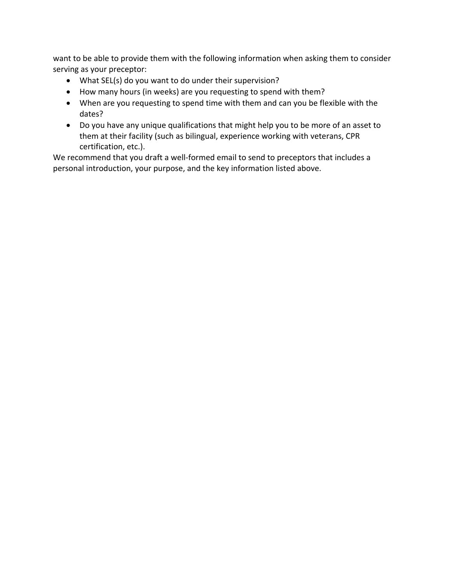want to be able to provide them with the following information when asking them to consider serving as your preceptor:

- What SEL(s) do you want to do under their supervision?
- How many hours (in weeks) are you requesting to spend with them?
- When are you requesting to spend time with them and can you be flexible with the dates?
- Do you have any unique qualifications that might help you to be more of an asset to them at their facility (such as bilingual, experience working with veterans, CPR certification, etc.).

We recommend that you draft a well-formed email to send to preceptors that includes a personal introduction, your purpose, and the key information listed above.